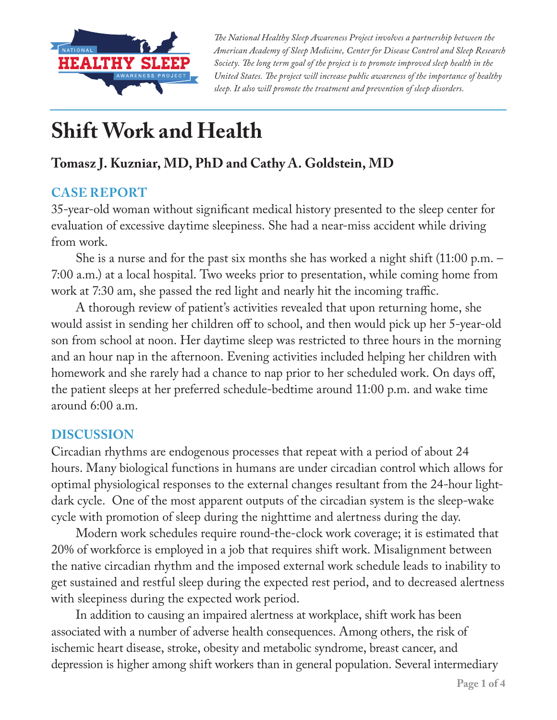

*The National Healthy Sleep Awareness Project involves a partnership between the American Academy of Sleep Medicine, Center for Disease Control and Sleep Research Society. The long term goal of the project is to promote improved sleep health in the United States. The project will increase public awareness of the importance of healthy sleep. It also will promote the treatment and prevention of sleep disorders.*

# **Shift Work and Health**

## **Tomasz J. Kuzniar, MD, PhD and Cathy A. Goldstein, MD**

#### **CASE REPORT**

35-year-old woman without significant medical history presented to the sleep center for evaluation of excessive daytime sleepiness. She had a near-miss accident while driving from work.

She is a nurse and for the past six months she has worked a night shift (11:00 p.m. – 7:00 a.m.) at a local hospital. Two weeks prior to presentation, while coming home from work at 7:30 am, she passed the red light and nearly hit the incoming traffic.

A thorough review of patient's activities revealed that upon returning home, she would assist in sending her children off to school, and then would pick up her 5-year-old son from school at noon. Her daytime sleep was restricted to three hours in the morning and an hour nap in the afternoon. Evening activities included helping her children with homework and she rarely had a chance to nap prior to her scheduled work. On days off, the patient sleeps at her preferred schedule-bedtime around 11:00 p.m. and wake time around 6:00 a.m.

#### **DISCUSSION**

Circadian rhythms are endogenous processes that repeat with a period of about 24 hours. Many biological functions in humans are under circadian control which allows for optimal physiological responses to the external changes resultant from the 24-hour lightdark cycle. One of the most apparent outputs of the circadian system is the sleep-wake cycle with promotion of sleep during the nighttime and alertness during the day.

Modern work schedules require round-the-clock work coverage; it is estimated that 20% of workforce is employed in a job that requires shift work. Misalignment between the native circadian rhythm and the imposed external work schedule leads to inability to get sustained and restful sleep during the expected rest period, and to decreased alertness with sleepiness during the expected work period.

In addition to causing an impaired alertness at workplace, shift work has been associated with a number of adverse health consequences. Among others, the risk of ischemic heart disease, stroke, obesity and metabolic syndrome, breast cancer, and depression is higher among shift workers than in general population. Several intermediary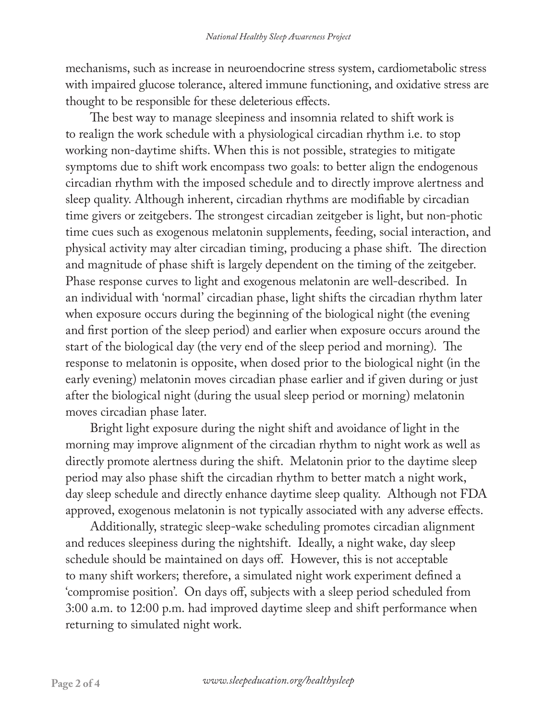mechanisms, such as increase in neuroendocrine stress system, cardiometabolic stress with impaired glucose tolerance, altered immune functioning, and oxidative stress are thought to be responsible for these deleterious effects.

The best way to manage sleepiness and insomnia related to shift work is to realign the work schedule with a physiological circadian rhythm i.e. to stop working non-daytime shifts. When this is not possible, strategies to mitigate symptoms due to shift work encompass two goals: to better align the endogenous circadian rhythm with the imposed schedule and to directly improve alertness and sleep quality. Although inherent, circadian rhythms are modifiable by circadian time givers or zeitgebers. The strongest circadian zeitgeber is light, but non-photic time cues such as exogenous melatonin supplements, feeding, social interaction, and physical activity may alter circadian timing, producing a phase shift. The direction and magnitude of phase shift is largely dependent on the timing of the zeitgeber. Phase response curves to light and exogenous melatonin are well-described. In an individual with 'normal' circadian phase, light shifts the circadian rhythm later when exposure occurs during the beginning of the biological night (the evening and first portion of the sleep period) and earlier when exposure occurs around the start of the biological day (the very end of the sleep period and morning). The response to melatonin is opposite, when dosed prior to the biological night (in the early evening) melatonin moves circadian phase earlier and if given during or just after the biological night (during the usual sleep period or morning) melatonin moves circadian phase later.

Bright light exposure during the night shift and avoidance of light in the morning may improve alignment of the circadian rhythm to night work as well as directly promote alertness during the shift. Melatonin prior to the daytime sleep period may also phase shift the circadian rhythm to better match a night work, day sleep schedule and directly enhance daytime sleep quality. Although not FDA approved, exogenous melatonin is not typically associated with any adverse effects.

Additionally, strategic sleep-wake scheduling promotes circadian alignment and reduces sleepiness during the nightshift. Ideally, a night wake, day sleep schedule should be maintained on days off. However, this is not acceptable to many shift workers; therefore, a simulated night work experiment defined a 'compromise position'. On days off, subjects with a sleep period scheduled from 3:00 a.m. to 12:00 p.m. had improved daytime sleep and shift performance when returning to simulated night work.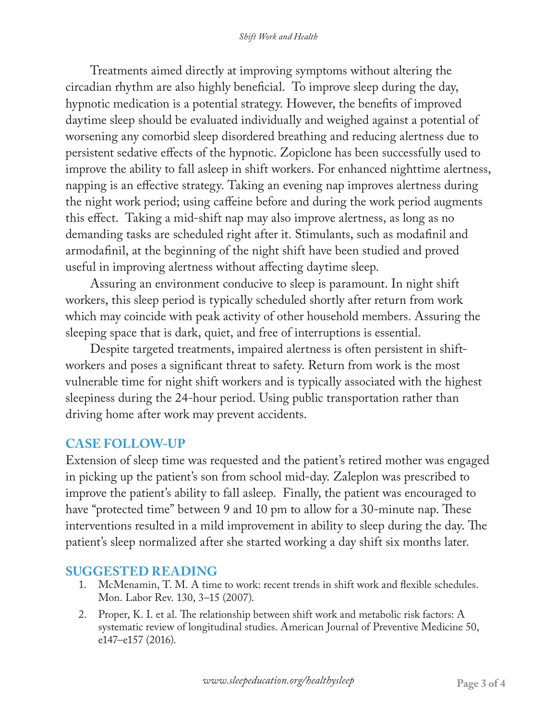Treatments aimed directly at improving symptoms without altering the circadian rhythm are also highly beneficial. To improve sleep during the day, hypnotic medication is a potential strategy. However, the benefits of improved daytime sleep should be evaluated individually and weighed against a potential of worsening any comorbid sleep disordered breathing and reducing alertness due to persistent sedative effects of the hypnotic. Zopiclone has been successfully used to improve the ability to fall asleep in shift workers. For enhanced nighttime alertness, napping is an effective strategy. Taking an evening nap improves alertness during the night work period; using caffeine before and during the work period augments this effect. Taking a mid-shift nap may also improve alertness, as long as no demanding tasks are scheduled right after it. Stimulants, such as modafinil and armodafinil, at the beginning of the night shift have been studied and proved useful in improving alertness without affecting daytime sleep.

Assuring an environment conducive to sleep is paramount. In night shift workers, this sleep period is typically scheduled shortly after return from work which may coincide with peak activity of other household members. Assuring the sleeping space that is dark, quiet, and free of interruptions is essential.

Despite targeted treatments, impaired alertness is often persistent in shiftworkers and poses a significant threat to safety. Return from work is the most vulnerable time for night shift workers and is typically associated with the highest sleepiness during the 24-hour period. Using public transportation rather than driving home after work may prevent accidents.

### **CASE FOLLOW-UP**

Extension of sleep time was requested and the patient's retired mother was engaged in picking up the patient's son from school mid-day. Zaleplon was prescribed to improve the patient's ability to fall asleep. Finally, the patient was encouraged to have "protected time" between 9 and 10 pm to allow for a 30-minute nap. These interventions resulted in a mild improvement in ability to sleep during the day. The patient's sleep normalized after she started working a day shift six months later.

#### **SUGGESTED READING**

- 1. McMenamin, T. M. A time to work: recent trends in shift work and flexible schedules. Mon. Labor Rev. 130, 3–15 (2007).
- 2. Proper, K. I. et al. The relationship between shift work and metabolic risk factors: A systematic review of longitudinal studies. American Journal of Preventive Medicine 50, e147–e157 (2016).